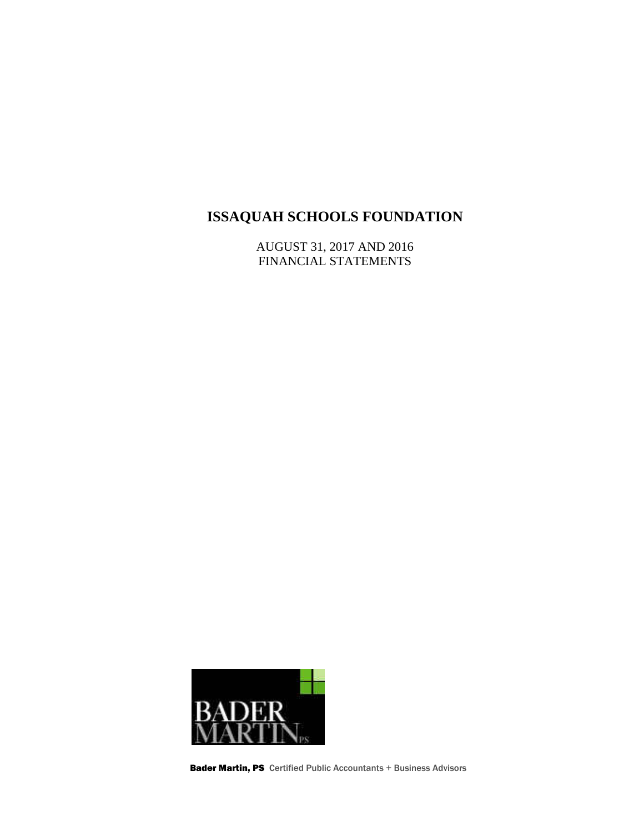AUGUST 31, 2017 AND 2016 FINANCIAL STATEMENTS



Bader Martin, PS Certified Public Accountants + Business Advisors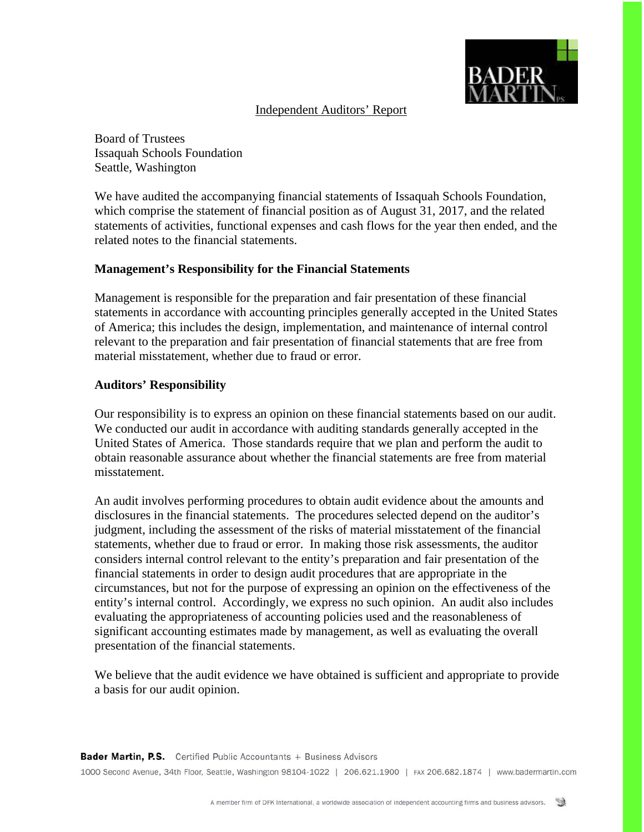

### Independent Auditors' Report

Board of Trustees Issaquah Schools Foundation Seattle, Washington

We have audited the accompanying financial statements of Issaquah Schools Foundation, which comprise the statement of financial position as of August 31, 2017, and the related statements of activities, functional expenses and cash flows for the year then ended, and the related notes to the financial statements.

### **Management's Responsibility for the Financial Statements**

Management is responsible for the preparation and fair presentation of these financial statements in accordance with accounting principles generally accepted in the United States of America; this includes the design, implementation, and maintenance of internal control relevant to the preparation and fair presentation of financial statements that are free from material misstatement, whether due to fraud or error.

### **Auditors' Responsibility**

Our responsibility is to express an opinion on these financial statements based on our audit. We conducted our audit in accordance with auditing standards generally accepted in the United States of America. Those standards require that we plan and perform the audit to obtain reasonable assurance about whether the financial statements are free from material misstatement.

An audit involves performing procedures to obtain audit evidence about the amounts and disclosures in the financial statements. The procedures selected depend on the auditor's judgment, including the assessment of the risks of material misstatement of the financial statements, whether due to fraud or error. In making those risk assessments, the auditor considers internal control relevant to the entity's preparation and fair presentation of the financial statements in order to design audit procedures that are appropriate in the circumstances, but not for the purpose of expressing an opinion on the effectiveness of the entity's internal control. Accordingly, we express no such opinion. An audit also includes evaluating the appropriateness of accounting policies used and the reasonableness of significant accounting estimates made by management, as well as evaluating the overall presentation of the financial statements.

We believe that the audit evidence we have obtained is sufficient and appropriate to provide a basis for our audit opinion.

**Bader Martin, P.S.** Certified Public Accountants + Business Advisors

1000 Second Avenue, 34th Floor, Seattle, Washington 98104-1022 | 206.621.1900 | FAX 206.682.1874 | www.badermartin.com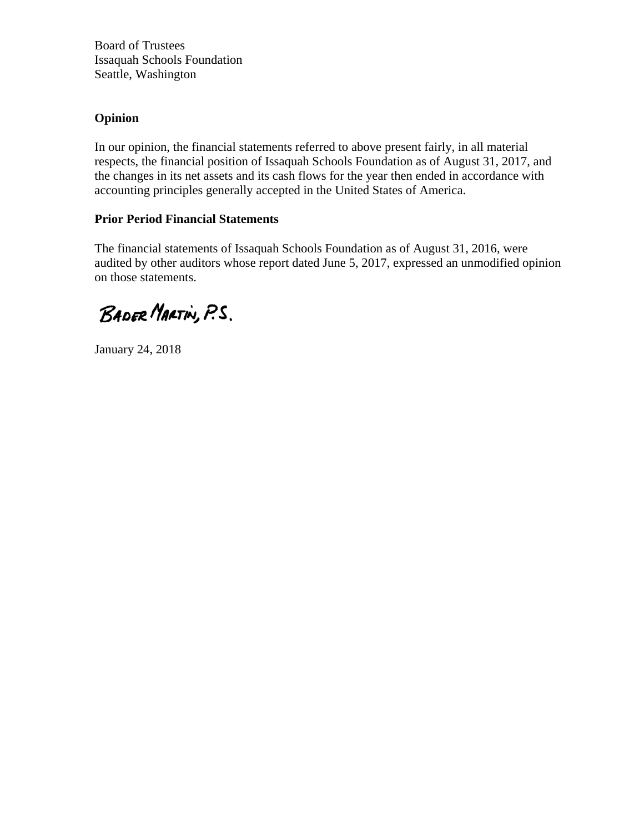Board of Trustees Issaquah Schools Foundation Seattle, Washington

## **Opinion**

In our opinion, the financial statements referred to above present fairly, in all material respects, the financial position of Issaquah Schools Foundation as of August 31, 2017, and the changes in its net assets and its cash flows for the year then ended in accordance with accounting principles generally accepted in the United States of America.

### **Prior Period Financial Statements**

The financial statements of Issaquah Schools Foundation as of August 31, 2016, were audited by other auditors whose report dated June 5, 2017, expressed an unmodified opinion on those statements.

BADER MARTIN, P.S.

January 24, 2018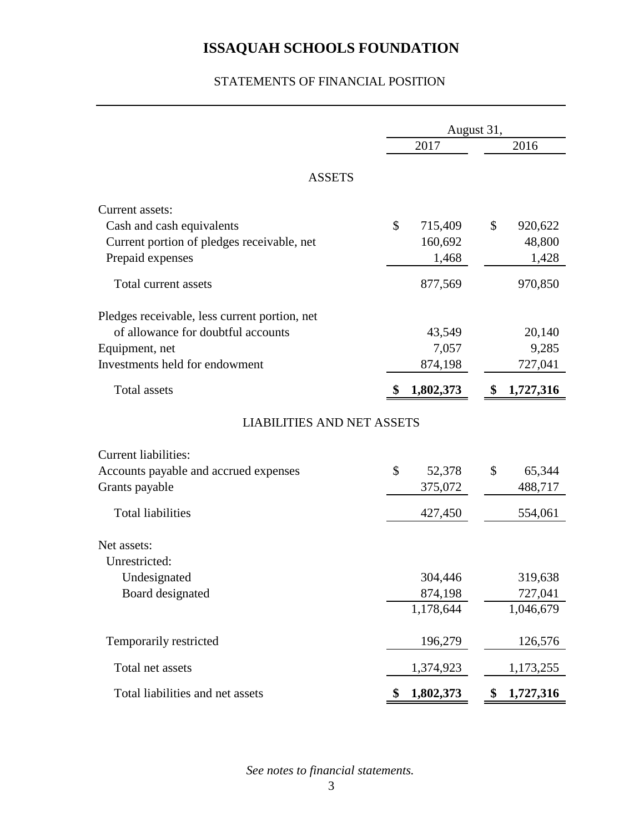# STATEMENTS OF FINANCIAL POSITION

|                                                                                                                                         |    | August 31,<br>2017              |    | 2016                            |
|-----------------------------------------------------------------------------------------------------------------------------------------|----|---------------------------------|----|---------------------------------|
| <b>ASSETS</b>                                                                                                                           |    |                                 |    |                                 |
| Current assets:<br>Cash and cash equivalents<br>Current portion of pledges receivable, net<br>Prepaid expenses                          | \$ | 715,409<br>160,692<br>1,468     | \$ | 920,622<br>48,800<br>1,428      |
| Total current assets                                                                                                                    |    | 877,569                         |    | 970,850                         |
| Pledges receivable, less current portion, net<br>of allowance for doubtful accounts<br>Equipment, net<br>Investments held for endowment |    | 43,549<br>7,057<br>874,198      |    | 20,140<br>9,285<br>727,041      |
| <b>Total assets</b>                                                                                                                     |    | 1,802,373                       |    | 1,727,316                       |
| <b>LIABILITIES AND NET ASSETS</b>                                                                                                       |    |                                 |    |                                 |
| <b>Current liabilities:</b><br>Accounts payable and accrued expenses<br>Grants payable<br><b>Total liabilities</b>                      | \$ | 52,378<br>375,072<br>427,450    | \$ | 65,344<br>488,717<br>554,061    |
| Net assets:<br>Unrestricted:<br>Undesignated<br>Board designated                                                                        |    | 304,446<br>874,198<br>1,178,644 |    | 319,638<br>727,041<br>1,046,679 |
| Temporarily restricted                                                                                                                  |    | 196,279                         |    | 126,576                         |
| Total net assets                                                                                                                        |    | 1,374,923                       |    | 1,173,255                       |
| Total liabilities and net assets                                                                                                        |    | 1,802,373                       | \$ | 1,727,316                       |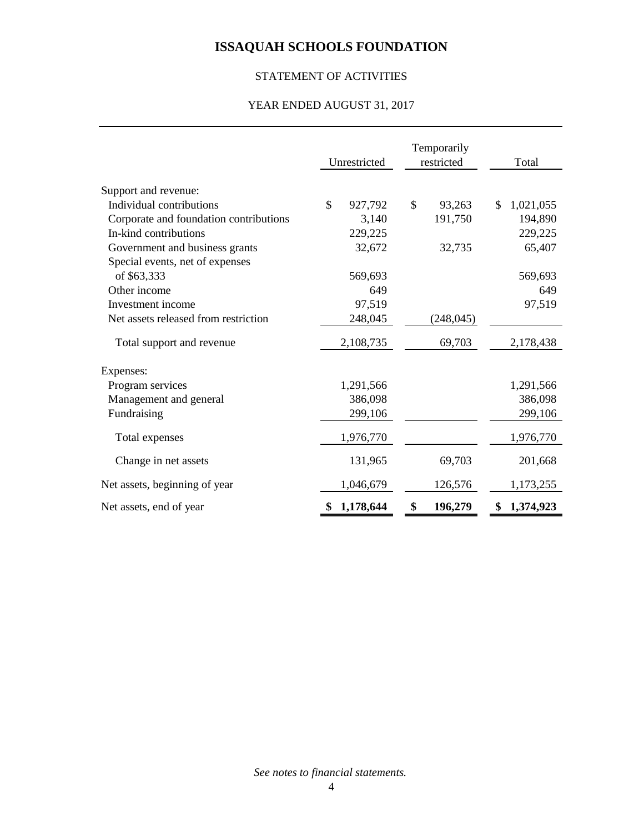## STATEMENT OF ACTIVITIES

### YEAR ENDED AUGUST 31, 2017

|                                        | Temporarily<br>restricted<br>Unrestricted |               | Total           |
|----------------------------------------|-------------------------------------------|---------------|-----------------|
| Support and revenue:                   |                                           |               |                 |
| Individual contributions               | \$<br>927,792                             | \$<br>93,263  | 1,021,055<br>\$ |
| Corporate and foundation contributions | 3,140                                     | 191,750       | 194,890         |
| In-kind contributions                  | 229,225                                   |               | 229,225         |
| Government and business grants         | 32,672                                    | 32,735        | 65,407          |
| Special events, net of expenses        |                                           |               |                 |
| of \$63,333                            | 569,693                                   |               | 569,693         |
| Other income                           | 649                                       |               | 649             |
| Investment income                      | 97,519                                    |               | 97,519          |
| Net assets released from restriction   | 248,045                                   | (248, 045)    |                 |
| Total support and revenue              | 2,108,735                                 | 69,703        | 2,178,438       |
| Expenses:                              |                                           |               |                 |
| Program services                       | 1,291,566                                 |               | 1,291,566       |
| Management and general                 | 386,098                                   |               | 386,098         |
| Fundraising                            | 299,106                                   |               | 299,106         |
| Total expenses                         | 1,976,770                                 |               | 1,976,770       |
| Change in net assets                   | 131,965                                   | 69,703        | 201,668         |
| Net assets, beginning of year          | 1,046,679                                 | 126,576       | 1,173,255       |
| Net assets, end of year                | 1,178,644                                 | 196,279<br>\$ | 1,374,923<br>\$ |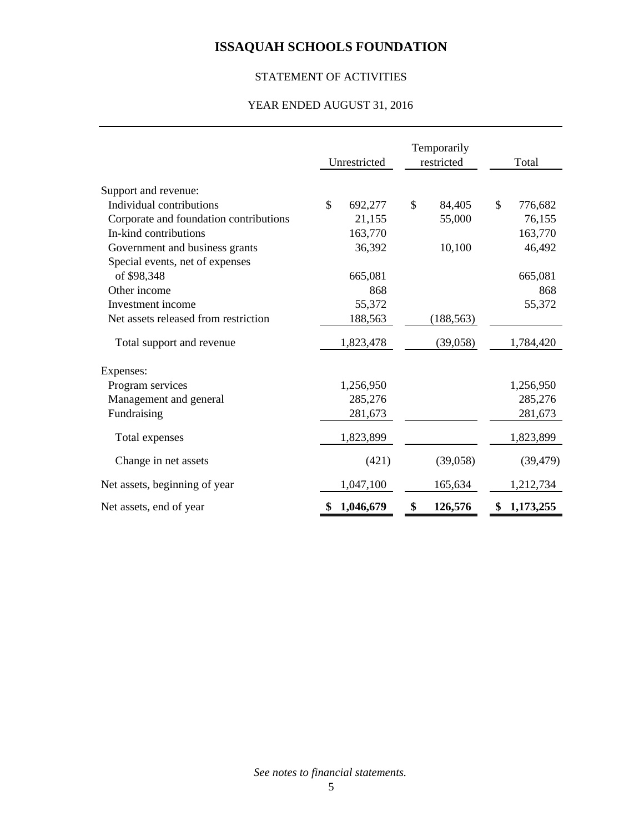## STATEMENT OF ACTIVITIES

### YEAR ENDED AUGUST 31, 2016

|                                        | Temporarily<br>Unrestricted<br>restricted |               | Total           |
|----------------------------------------|-------------------------------------------|---------------|-----------------|
| Support and revenue:                   |                                           |               |                 |
| Individual contributions               | $\mathbf{\hat{S}}$<br>692,277             | \$<br>84,405  | \$<br>776,682   |
| Corporate and foundation contributions | 21,155                                    | 55,000        | 76,155          |
| In-kind contributions                  | 163,770                                   |               | 163,770         |
| Government and business grants         | 36,392                                    | 10,100        | 46,492          |
| Special events, net of expenses        |                                           |               |                 |
| of \$98,348                            | 665,081                                   |               | 665,081         |
| Other income                           | 868                                       |               | 868             |
| Investment income                      | 55,372                                    |               | 55,372          |
| Net assets released from restriction   | 188,563                                   | (188, 563)    |                 |
| Total support and revenue              | 1,823,478                                 | (39,058)      | 1,784,420       |
| Expenses:                              |                                           |               |                 |
| Program services                       | 1,256,950                                 |               | 1,256,950       |
| Management and general                 | 285,276                                   |               | 285,276         |
| Fundraising                            | 281,673                                   |               | 281,673         |
| Total expenses                         | 1,823,899                                 |               | 1,823,899       |
| Change in net assets                   | (421)                                     | (39,058)      | (39, 479)       |
| Net assets, beginning of year          | 1,047,100                                 | 165,634       | 1,212,734       |
| Net assets, end of year                | 1,046,679<br>\$                           | 126,576<br>\$ | 1,173,255<br>\$ |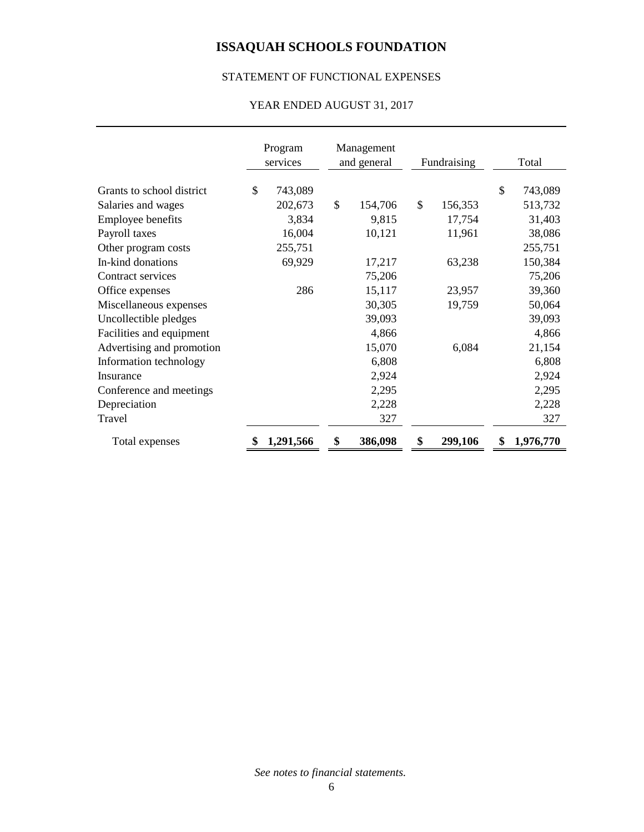## STATEMENT OF FUNCTIONAL EXPENSES

## YEAR ENDED AUGUST 31, 2017

|                           | Program<br>services | Management<br>and general |         |              | Fundraising | Total           |
|---------------------------|---------------------|---------------------------|---------|--------------|-------------|-----------------|
| Grants to school district | \$<br>743,089       |                           |         |              |             | \$<br>743,089   |
| Salaries and wages        | 202,673             | \$                        | 154,706 | $\mathbb{S}$ | 156,353     | 513,732         |
| Employee benefits         | 3,834               |                           | 9,815   |              | 17,754      | 31,403          |
| Payroll taxes             | 16,004              |                           | 10,121  |              | 11,961      | 38,086          |
| Other program costs       | 255,751             |                           |         |              |             | 255,751         |
| In-kind donations         | 69,929              |                           | 17,217  |              | 63,238      | 150,384         |
| Contract services         |                     |                           | 75,206  |              |             | 75,206          |
| Office expenses           | 286                 |                           | 15,117  |              | 23,957      | 39,360          |
| Miscellaneous expenses    |                     |                           | 30,305  |              | 19,759      | 50,064          |
| Uncollectible pledges     |                     |                           | 39,093  |              |             | 39,093          |
| Facilities and equipment  |                     |                           | 4,866   |              |             | 4,866           |
| Advertising and promotion |                     |                           | 15,070  |              | 6,084       | 21,154          |
| Information technology    |                     |                           | 6,808   |              |             | 6,808           |
| Insurance                 |                     |                           | 2,924   |              |             | 2,924           |
| Conference and meetings   |                     |                           | 2,295   |              |             | 2,295           |
| Depreciation              |                     |                           | 2,228   |              |             | 2,228           |
| Travel                    |                     |                           | 327     |              |             | 327             |
| Total expenses            | 1,291,566           | \$                        | 386,098 | \$           | 299,106     | \$<br>1,976,770 |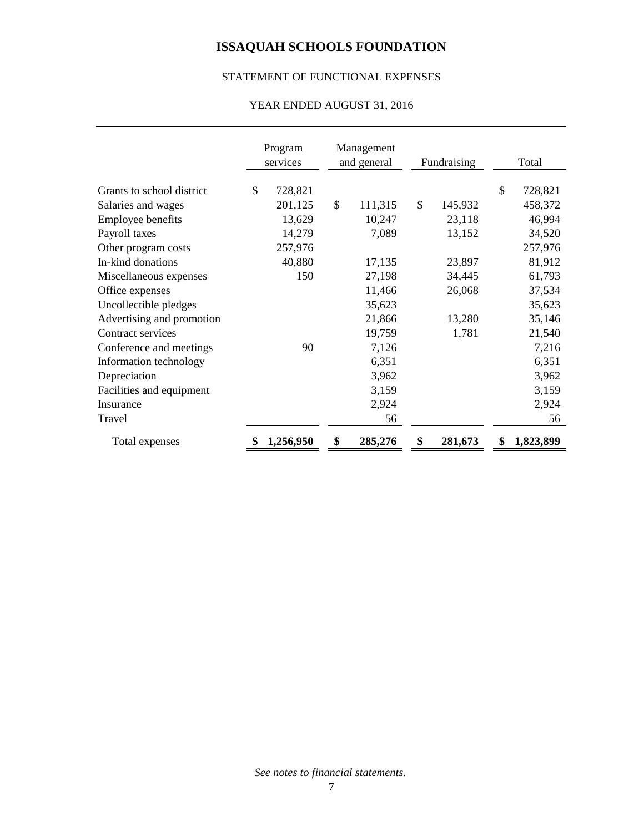## STATEMENT OF FUNCTIONAL EXPENSES

## YEAR ENDED AUGUST 31, 2016

|                           | Program<br>services |           | Management<br>and general |         |              | Fundraising | Total           |
|---------------------------|---------------------|-----------|---------------------------|---------|--------------|-------------|-----------------|
| Grants to school district | \$                  | 728,821   |                           |         |              |             | \$<br>728,821   |
| Salaries and wages        |                     | 201,125   | \$                        | 111,315 | $\mathbb{S}$ | 145,932     | 458,372         |
| Employee benefits         |                     | 13,629    |                           | 10,247  |              | 23,118      | 46,994          |
| Payroll taxes             |                     | 14,279    |                           | 7,089   |              | 13,152      | 34,520          |
| Other program costs       |                     | 257,976   |                           |         |              |             | 257,976         |
| In-kind donations         |                     | 40,880    |                           | 17,135  |              | 23,897      | 81,912          |
| Miscellaneous expenses    |                     | 150       |                           | 27,198  |              | 34,445      | 61,793          |
| Office expenses           |                     |           |                           | 11,466  |              | 26,068      | 37,534          |
| Uncollectible pledges     |                     |           |                           | 35,623  |              |             | 35,623          |
| Advertising and promotion |                     |           |                           | 21,866  |              | 13,280      | 35,146          |
| Contract services         |                     |           |                           | 19,759  |              | 1,781       | 21,540          |
| Conference and meetings   |                     | 90        |                           | 7,126   |              |             | 7,216           |
| Information technology    |                     |           |                           | 6,351   |              |             | 6,351           |
| Depreciation              |                     |           |                           | 3,962   |              |             | 3,962           |
| Facilities and equipment  |                     |           |                           | 3,159   |              |             | 3,159           |
| Insurance                 |                     |           |                           | 2,924   |              |             | 2,924           |
| Travel                    |                     |           |                           | 56      |              |             | 56              |
| Total expenses            |                     | 1,256,950 | \$                        | 285,276 | \$           | 281,673     | \$<br>1,823,899 |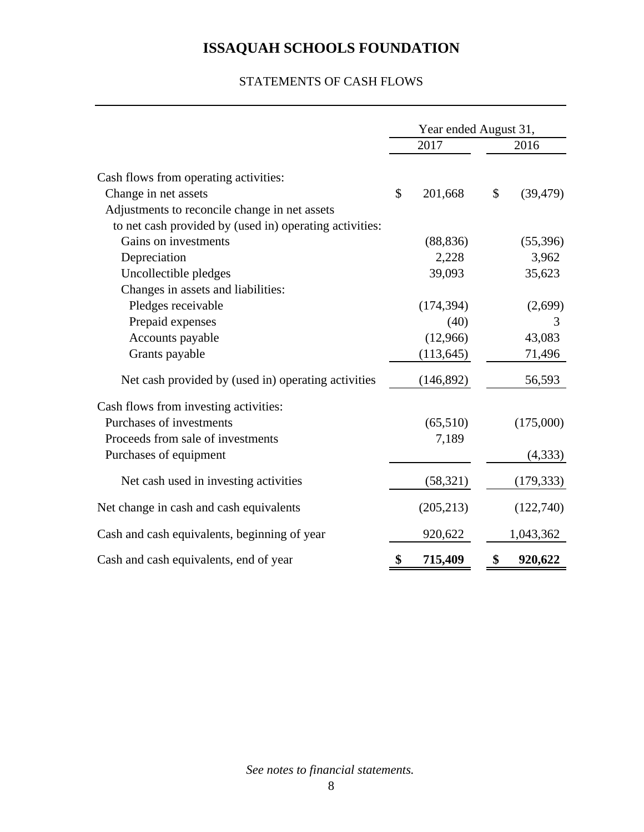## STATEMENTS OF CASH FLOWS

|                                                         | Year ended August 31, |            |    |            |  |
|---------------------------------------------------------|-----------------------|------------|----|------------|--|
|                                                         |                       | 2017       |    | 2016       |  |
| Cash flows from operating activities:                   |                       |            |    |            |  |
| Change in net assets                                    | \$                    | 201,668    | \$ | (39, 479)  |  |
| Adjustments to reconcile change in net assets           |                       |            |    |            |  |
| to net cash provided by (used in) operating activities: |                       |            |    |            |  |
| Gains on investments                                    |                       | (88, 836)  |    | (55,396)   |  |
| Depreciation                                            |                       | 2,228      |    | 3,962      |  |
| Uncollectible pledges                                   |                       | 39,093     |    | 35,623     |  |
| Changes in assets and liabilities:                      |                       |            |    |            |  |
| Pledges receivable                                      |                       | (174, 394) |    | (2,699)    |  |
| Prepaid expenses                                        |                       | (40)       |    | 3          |  |
| Accounts payable                                        |                       | (12,966)   |    | 43,083     |  |
| Grants payable                                          |                       | (113, 645) |    | 71,496     |  |
| Net cash provided by (used in) operating activities     |                       | (146, 892) |    | 56,593     |  |
| Cash flows from investing activities:                   |                       |            |    |            |  |
| Purchases of investments                                |                       | (65,510)   |    | (175,000)  |  |
| Proceeds from sale of investments                       |                       | 7,189      |    |            |  |
| Purchases of equipment                                  |                       |            |    | (4, 333)   |  |
| Net cash used in investing activities                   |                       | (58, 321)  |    | (179, 333) |  |
| Net change in cash and cash equivalents                 |                       | (205, 213) |    | (122,740)  |  |
| Cash and cash equivalents, beginning of year            |                       | 920,622    |    | 1,043,362  |  |
| Cash and cash equivalents, end of year                  | \$                    | 715,409    | \$ | 920,622    |  |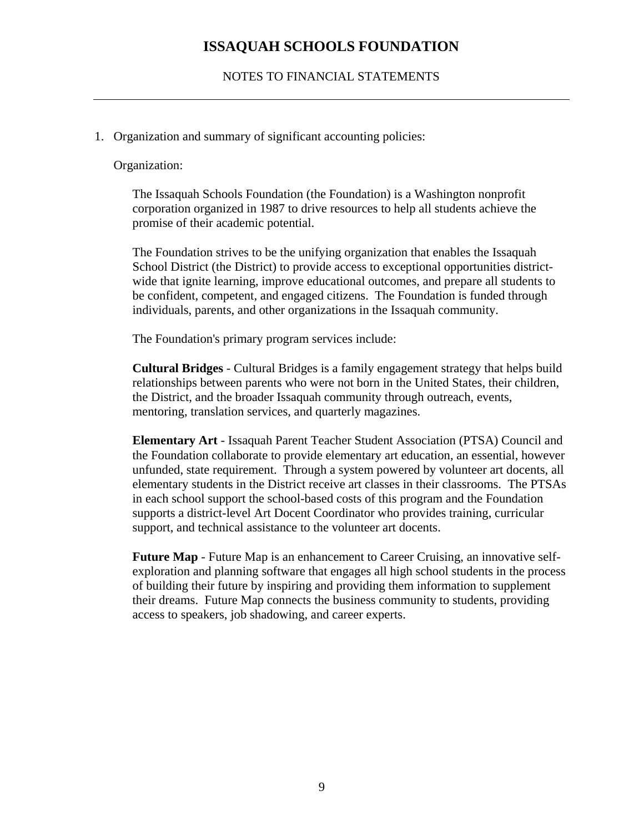#### NOTES TO FINANCIAL STATEMENTS

#### 1. Organization and summary of significant accounting policies:

#### Organization:

The Issaquah Schools Foundation (the Foundation) is a Washington nonprofit corporation organized in 1987 to drive resources to help all students achieve the promise of their academic potential.

The Foundation strives to be the unifying organization that enables the Issaquah School District (the District) to provide access to exceptional opportunities districtwide that ignite learning, improve educational outcomes, and prepare all students to be confident, competent, and engaged citizens. The Foundation is funded through individuals, parents, and other organizations in the Issaquah community.

The Foundation's primary program services include:

**Cultural Bridges** - Cultural Bridges is a family engagement strategy that helps build relationships between parents who were not born in the United States, their children, the District, and the broader Issaquah community through outreach, events, mentoring, translation services, and quarterly magazines.

**Elementary Art** - Issaquah Parent Teacher Student Association (PTSA) Council and the Foundation collaborate to provide elementary art education, an essential, however unfunded, state requirement. Through a system powered by volunteer art docents, all elementary students in the District receive art classes in their classrooms. The PTSAs in each school support the school-based costs of this program and the Foundation supports a district-level Art Docent Coordinator who provides training, curricular support, and technical assistance to the volunteer art docents.

**Future Map** - Future Map is an enhancement to Career Cruising, an innovative selfexploration and planning software that engages all high school students in the process of building their future by inspiring and providing them information to supplement their dreams. Future Map connects the business community to students, providing access to speakers, job shadowing, and career experts.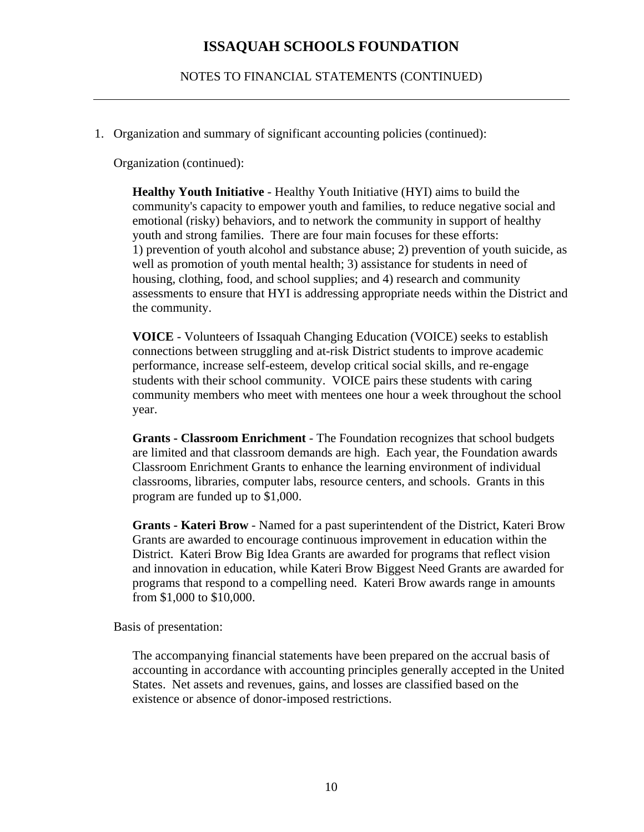NOTES TO FINANCIAL STATEMENTS (CONTINUED)

1. Organization and summary of significant accounting policies (continued):

Organization (continued):

**Healthy Youth Initiative** - Healthy Youth Initiative (HYI) aims to build the community's capacity to empower youth and families, to reduce negative social and emotional (risky) behaviors, and to network the community in support of healthy youth and strong families. There are four main focuses for these efforts: 1) prevention of youth alcohol and substance abuse; 2) prevention of youth suicide, as well as promotion of youth mental health; 3) assistance for students in need of housing, clothing, food, and school supplies; and 4) research and community assessments to ensure that HYI is addressing appropriate needs within the District and the community.

**VOICE** - Volunteers of Issaquah Changing Education (VOICE) seeks to establish connections between struggling and at-risk District students to improve academic performance, increase self-esteem, develop critical social skills, and re-engage students with their school community. VOICE pairs these students with caring community members who meet with mentees one hour a week throughout the school year.

**Grants - Classroom Enrichment** - The Foundation recognizes that school budgets are limited and that classroom demands are high. Each year, the Foundation awards Classroom Enrichment Grants to enhance the learning environment of individual classrooms, libraries, computer labs, resource centers, and schools. Grants in this program are funded up to \$1,000.

**Grants - Kateri Brow** - Named for a past superintendent of the District, Kateri Brow Grants are awarded to encourage continuous improvement in education within the District. Kateri Brow Big Idea Grants are awarded for programs that reflect vision and innovation in education, while Kateri Brow Biggest Need Grants are awarded for programs that respond to a compelling need. Kateri Brow awards range in amounts from \$1,000 to \$10,000.

Basis of presentation:

The accompanying financial statements have been prepared on the accrual basis of accounting in accordance with accounting principles generally accepted in the United States. Net assets and revenues, gains, and losses are classified based on the existence or absence of donor-imposed restrictions.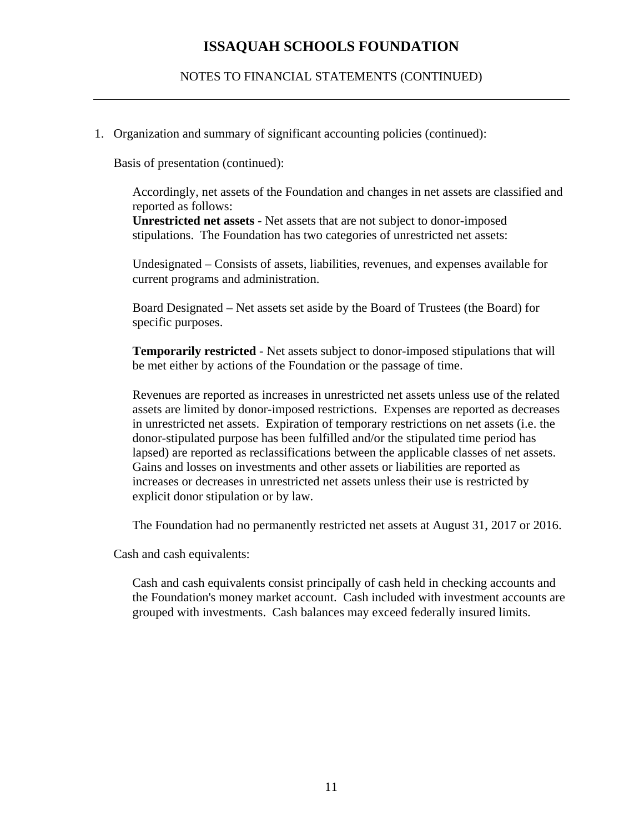NOTES TO FINANCIAL STATEMENTS (CONTINUED)

1. Organization and summary of significant accounting policies (continued):

Basis of presentation (continued):

Accordingly, net assets of the Foundation and changes in net assets are classified and reported as follows:

**Unrestricted net assets** - Net assets that are not subject to donor-imposed stipulations. The Foundation has two categories of unrestricted net assets:

Undesignated – Consists of assets, liabilities, revenues, and expenses available for current programs and administration.

Board Designated – Net assets set aside by the Board of Trustees (the Board) for specific purposes.

**Temporarily restricted** - Net assets subject to donor-imposed stipulations that will be met either by actions of the Foundation or the passage of time.

Revenues are reported as increases in unrestricted net assets unless use of the related assets are limited by donor-imposed restrictions. Expenses are reported as decreases in unrestricted net assets. Expiration of temporary restrictions on net assets (i.e. the donor-stipulated purpose has been fulfilled and/or the stipulated time period has lapsed) are reported as reclassifications between the applicable classes of net assets. Gains and losses on investments and other assets or liabilities are reported as increases or decreases in unrestricted net assets unless their use is restricted by explicit donor stipulation or by law.

The Foundation had no permanently restricted net assets at August 31, 2017 or 2016.

Cash and cash equivalents:

Cash and cash equivalents consist principally of cash held in checking accounts and the Foundation's money market account. Cash included with investment accounts are grouped with investments. Cash balances may exceed federally insured limits.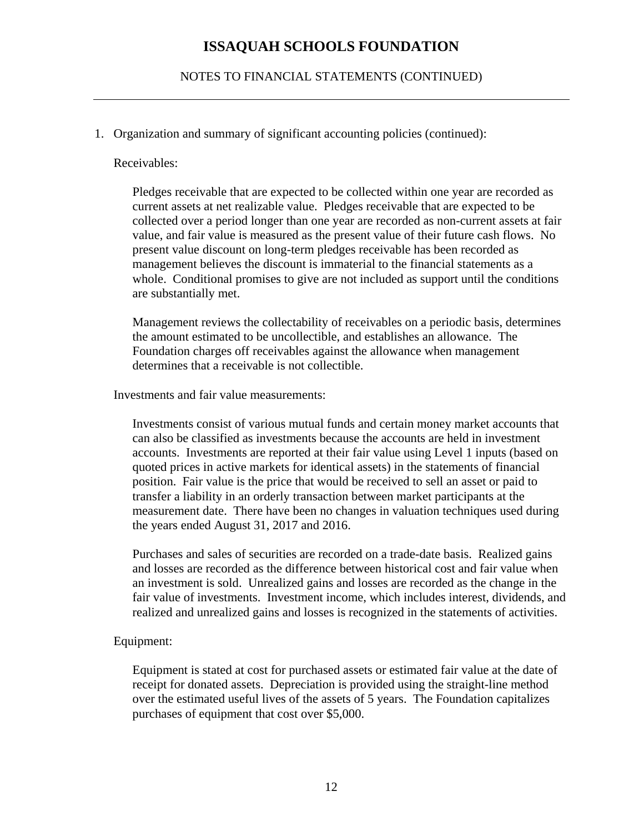NOTES TO FINANCIAL STATEMENTS (CONTINUED)

#### 1. Organization and summary of significant accounting policies (continued):

#### Receivables:

Pledges receivable that are expected to be collected within one year are recorded as current assets at net realizable value. Pledges receivable that are expected to be collected over a period longer than one year are recorded as non-current assets at fair value, and fair value is measured as the present value of their future cash flows. No present value discount on long-term pledges receivable has been recorded as management believes the discount is immaterial to the financial statements as a whole. Conditional promises to give are not included as support until the conditions are substantially met.

Management reviews the collectability of receivables on a periodic basis, determines the amount estimated to be uncollectible, and establishes an allowance. The Foundation charges off receivables against the allowance when management determines that a receivable is not collectible.

Investments and fair value measurements:

Investments consist of various mutual funds and certain money market accounts that can also be classified as investments because the accounts are held in investment accounts. Investments are reported at their fair value using Level 1 inputs (based on quoted prices in active markets for identical assets) in the statements of financial position. Fair value is the price that would be received to sell an asset or paid to transfer a liability in an orderly transaction between market participants at the measurement date. There have been no changes in valuation techniques used during the years ended August 31, 2017 and 2016.

Purchases and sales of securities are recorded on a trade-date basis. Realized gains and losses are recorded as the difference between historical cost and fair value when an investment is sold. Unrealized gains and losses are recorded as the change in the fair value of investments. Investment income, which includes interest, dividends, and realized and unrealized gains and losses is recognized in the statements of activities.

#### Equipment:

Equipment is stated at cost for purchased assets or estimated fair value at the date of receipt for donated assets. Depreciation is provided using the straight-line method over the estimated useful lives of the assets of 5 years. The Foundation capitalizes purchases of equipment that cost over \$5,000.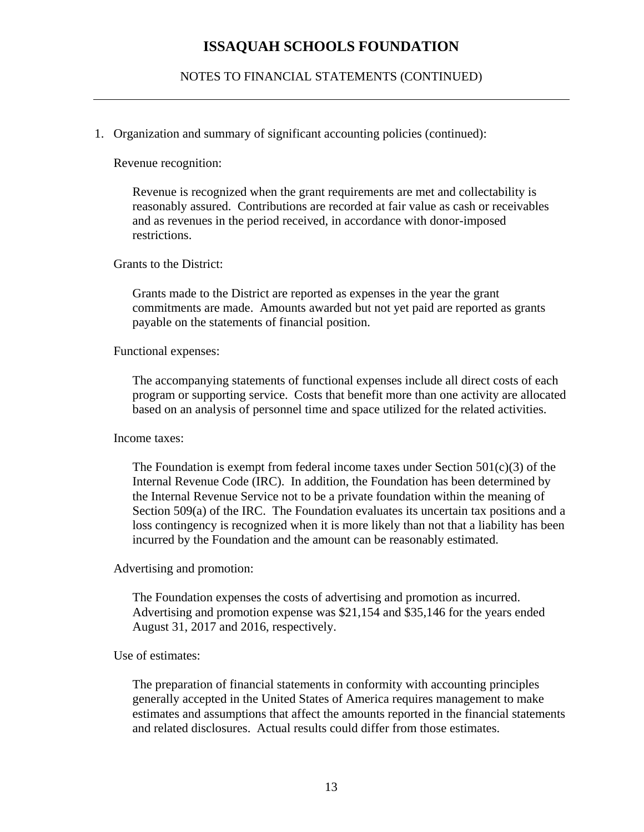NOTES TO FINANCIAL STATEMENTS (CONTINUED)

1. Organization and summary of significant accounting policies (continued):

Revenue recognition:

Revenue is recognized when the grant requirements are met and collectability is reasonably assured. Contributions are recorded at fair value as cash or receivables and as revenues in the period received, in accordance with donor-imposed restrictions.

Grants to the District:

Grants made to the District are reported as expenses in the year the grant commitments are made. Amounts awarded but not yet paid are reported as grants payable on the statements of financial position.

Functional expenses:

The accompanying statements of functional expenses include all direct costs of each program or supporting service. Costs that benefit more than one activity are allocated based on an analysis of personnel time and space utilized for the related activities.

Income taxes:

The Foundation is exempt from federal income taxes under Section  $501(c)(3)$  of the Internal Revenue Code (IRC). In addition, the Foundation has been determined by the Internal Revenue Service not to be a private foundation within the meaning of Section 509(a) of the IRC. The Foundation evaluates its uncertain tax positions and a loss contingency is recognized when it is more likely than not that a liability has been incurred by the Foundation and the amount can be reasonably estimated.

Advertising and promotion:

The Foundation expenses the costs of advertising and promotion as incurred. Advertising and promotion expense was \$21,154 and \$35,146 for the years ended August 31, 2017 and 2016, respectively.

Use of estimates:

The preparation of financial statements in conformity with accounting principles generally accepted in the United States of America requires management to make estimates and assumptions that affect the amounts reported in the financial statements and related disclosures. Actual results could differ from those estimates.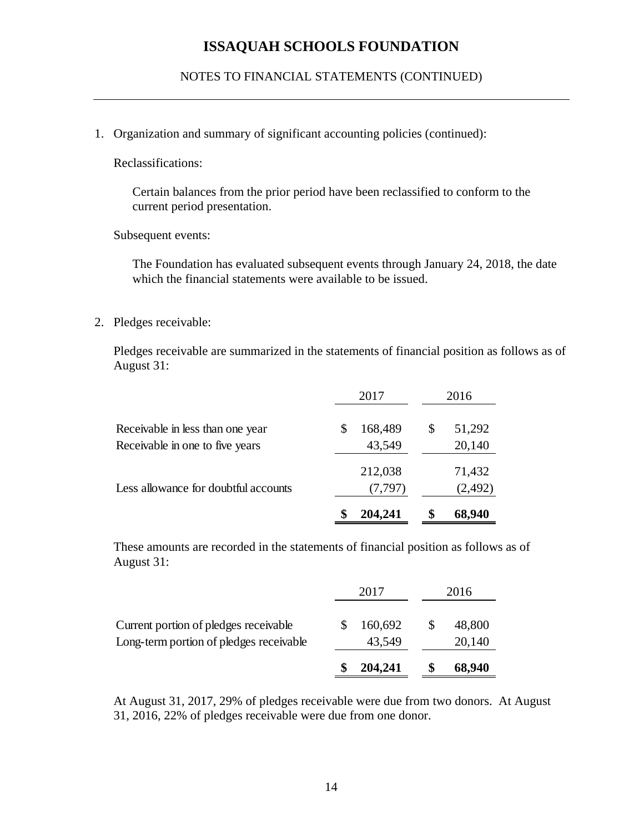NOTES TO FINANCIAL STATEMENTS (CONTINUED)

1. Organization and summary of significant accounting policies (continued):

Reclassifications:

Certain balances from the prior period have been reclassified to conform to the current period presentation.

Subsequent events:

The Foundation has evaluated subsequent events through January 24, 2018, the date which the financial statements were available to be issued.

2. Pledges receivable:

Pledges receivable are summarized in the statements of financial position as follows as of August 31:

|                                      | 2017     | 2016         |
|--------------------------------------|----------|--------------|
| Receivable in less than one year     | 168,489  | \$<br>51,292 |
| Receivable in one to five years      | 43,549   | 20,140       |
|                                      | 212,038  | 71,432       |
| Less allowance for doubtful accounts | (7, 797) | (2, 492)     |
|                                      | 204,241  | \$<br>68,940 |

These amounts are recorded in the statements of financial position as follows as of August 31:

|                                                                                  | 2017              | 2016             |
|----------------------------------------------------------------------------------|-------------------|------------------|
| Current portion of pledges receivable<br>Long-term portion of pledges receivable | 160,692<br>43,549 | 48,800<br>20,140 |
|                                                                                  | 204,241           | 68,940           |

At August 31, 2017, 29% of pledges receivable were due from two donors. At August 31, 2016, 22% of pledges receivable were due from one donor.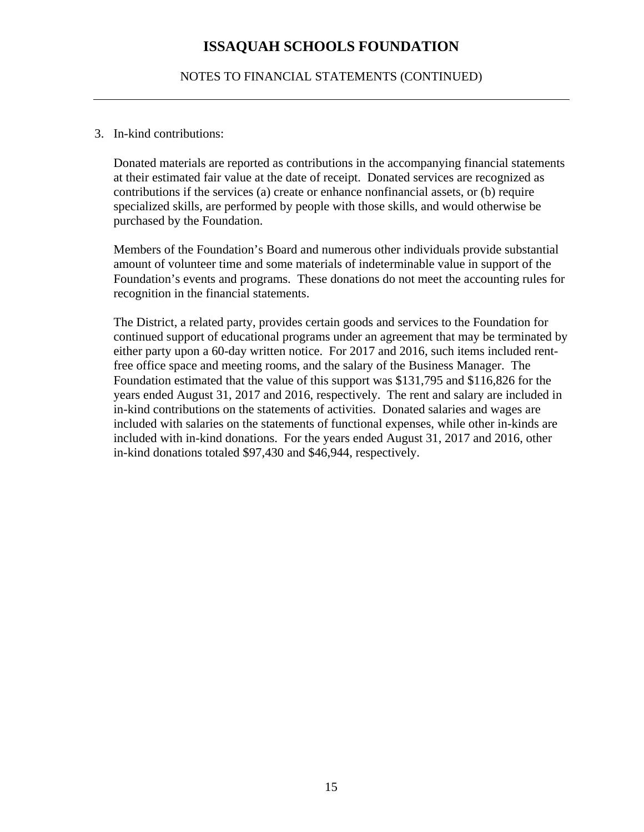### NOTES TO FINANCIAL STATEMENTS (CONTINUED)

### 3. In-kind contributions:

Donated materials are reported as contributions in the accompanying financial statements at their estimated fair value at the date of receipt. Donated services are recognized as contributions if the services (a) create or enhance nonfinancial assets, or (b) require specialized skills, are performed by people with those skills, and would otherwise be purchased by the Foundation.

Members of the Foundation's Board and numerous other individuals provide substantial amount of volunteer time and some materials of indeterminable value in support of the Foundation's events and programs. These donations do not meet the accounting rules for recognition in the financial statements.

The District, a related party, provides certain goods and services to the Foundation for continued support of educational programs under an agreement that may be terminated by either party upon a 60-day written notice. For 2017 and 2016, such items included rentfree office space and meeting rooms, and the salary of the Business Manager. The Foundation estimated that the value of this support was \$131,795 and \$116,826 for the years ended August 31, 2017 and 2016, respectively. The rent and salary are included in in-kind contributions on the statements of activities. Donated salaries and wages are included with salaries on the statements of functional expenses, while other in-kinds are included with in-kind donations. For the years ended August 31, 2017 and 2016, other in-kind donations totaled \$97,430 and \$46,944, respectively.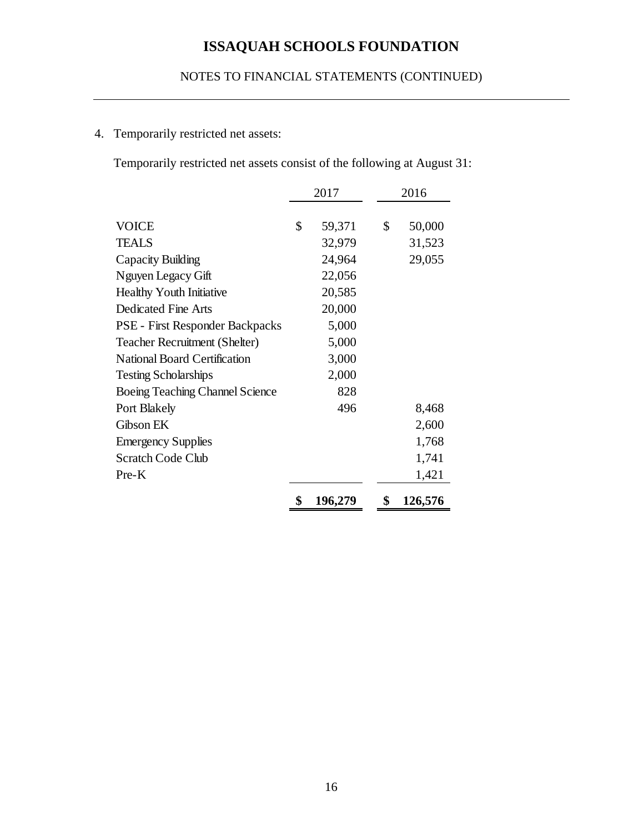# NOTES TO FINANCIAL STATEMENTS (CONTINUED)

# 4. Temporarily restricted net assets:

Temporarily restricted net assets consist of the following at August 31:

|                                      | 2017 |         | 2016          |
|--------------------------------------|------|---------|---------------|
|                                      |      |         |               |
| <b>VOICE</b>                         | \$   | 59,371  | \$<br>50,000  |
| <b>TEALS</b>                         |      | 32,979  | 31,523        |
| Capacity Building                    |      | 24,964  | 29,055        |
| Nguyen Legacy Gift                   |      | 22,056  |               |
| <b>Healthy Youth Initiative</b>      |      | 20,585  |               |
| <b>Dedicated Fine Arts</b>           |      | 20,000  |               |
| PSE - First Responder Backpacks      |      | 5,000   |               |
| <b>Teacher Recruitment (Shelter)</b> |      | 5,000   |               |
| <b>National Board Certification</b>  |      | 3,000   |               |
| <b>Testing Scholarships</b>          |      | 2,000   |               |
| Boeing Teaching Channel Science      |      | 828     |               |
| Port Blakely                         |      | 496     | 8,468         |
| Gibson EK                            |      |         | 2,600         |
| <b>Emergency Supplies</b>            |      |         | 1,768         |
| Scratch Code Club                    |      |         | 1,741         |
| $Pre-K$                              |      |         | 1,421         |
|                                      | \$   | 196,279 | \$<br>126,576 |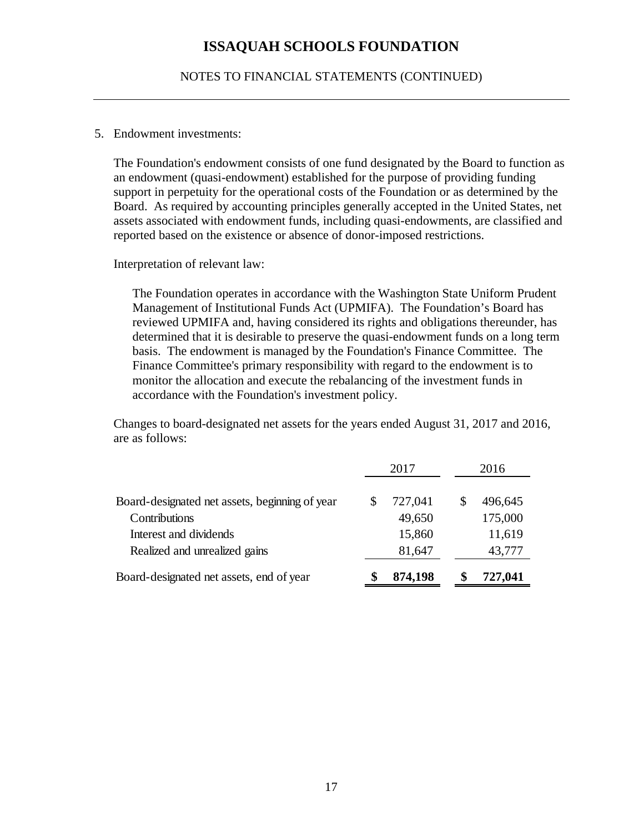NOTES TO FINANCIAL STATEMENTS (CONTINUED)

5. Endowment investments:

The Foundation's endowment consists of one fund designated by the Board to function as an endowment (quasi-endowment) established for the purpose of providing funding support in perpetuity for the operational costs of the Foundation or as determined by the Board. As required by accounting principles generally accepted in the United States, net assets associated with endowment funds, including quasi-endowments, are classified and reported based on the existence or absence of donor-imposed restrictions.

Interpretation of relevant law:

The Foundation operates in accordance with the Washington State Uniform Prudent Management of Institutional Funds Act (UPMIFA). The Foundation's Board has reviewed UPMIFA and, having considered its rights and obligations thereunder, has determined that it is desirable to preserve the quasi-endowment funds on a long term basis. The endowment is managed by the Foundation's Finance Committee. The Finance Committee's primary responsibility with regard to the endowment is to monitor the allocation and execute the rebalancing of the investment funds in accordance with the Foundation's investment policy.

Changes to board-designated net assets for the years ended August 31, 2017 and 2016, are as follows:

|                                                | 2017 |         | 2016    |
|------------------------------------------------|------|---------|---------|
| Board-designated net assets, beginning of year |      | 727,041 | 496,645 |
| Contributions                                  |      | 49,650  | 175,000 |
| Interest and dividends                         |      | 15,860  | 11,619  |
| Realized and unrealized gains                  |      | 81,647  | 43,777  |
| Board-designated net assets, end of year       |      | 874,198 | 727,041 |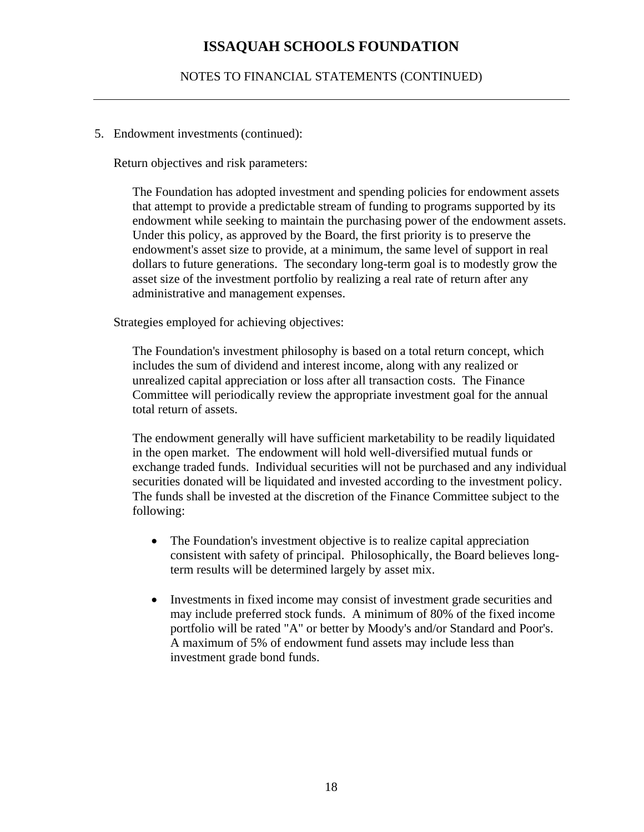## NOTES TO FINANCIAL STATEMENTS (CONTINUED)

#### 5. Endowment investments (continued):

Return objectives and risk parameters:

The Foundation has adopted investment and spending policies for endowment assets that attempt to provide a predictable stream of funding to programs supported by its endowment while seeking to maintain the purchasing power of the endowment assets. Under this policy, as approved by the Board, the first priority is to preserve the endowment's asset size to provide, at a minimum, the same level of support in real dollars to future generations. The secondary long-term goal is to modestly grow the asset size of the investment portfolio by realizing a real rate of return after any administrative and management expenses.

Strategies employed for achieving objectives:

The Foundation's investment philosophy is based on a total return concept, which includes the sum of dividend and interest income, along with any realized or unrealized capital appreciation or loss after all transaction costs. The Finance Committee will periodically review the appropriate investment goal for the annual total return of assets.

The endowment generally will have sufficient marketability to be readily liquidated in the open market. The endowment will hold well-diversified mutual funds or exchange traded funds. Individual securities will not be purchased and any individual securities donated will be liquidated and invested according to the investment policy. The funds shall be invested at the discretion of the Finance Committee subject to the following:

- The Foundation's investment objective is to realize capital appreciation consistent with safety of principal. Philosophically, the Board believes longterm results will be determined largely by asset mix.
- Investments in fixed income may consist of investment grade securities and may include preferred stock funds. A minimum of 80% of the fixed income portfolio will be rated "A" or better by Moody's and/or Standard and Poor's. A maximum of 5% of endowment fund assets may include less than investment grade bond funds.